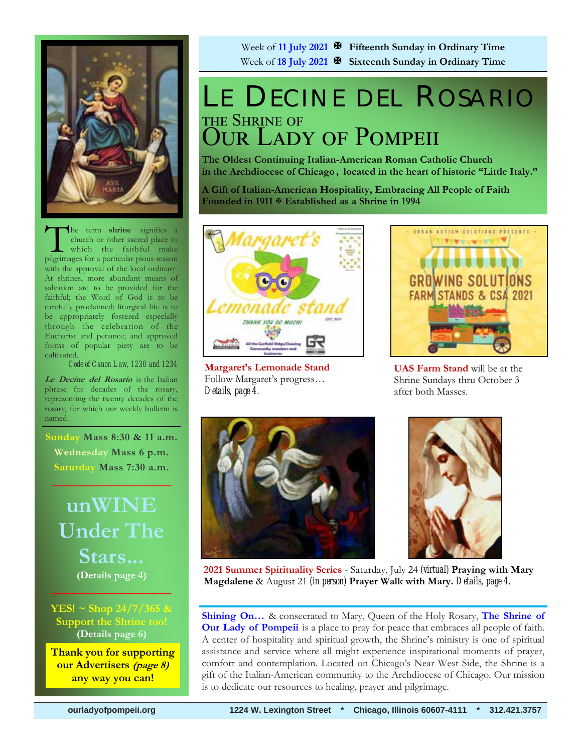

he term **shrine** signifies a church or other sacred place to which the faithful make pilgrimages for a particular pious reason with the approval of the local ordinary. At shrines, more abundant means of salvation are to be provided for the faithful; the Word of God is to be carefully proclaimed; liturgical life is to be appropriately fostered especially through the celebration of the Eucharist and penance; and approved forms of popular piety are to be cultivated.

*Code of Canon Law, 1230 and 1234* 

**Le Decine del Rosario** is the Italian phrase for decades of the rosary, representing the twenty decades of the rosary, for which our weekly bulletin is named.

 **Sunday Mass 8:30 & 11 a.m. Wednesday Mass 6 p.m. Saturday Mass 7:30 a.m.** 

 $\frac{1}{2}$  ,  $\frac{1}{2}$  ,  $\frac{1}{2}$  ,  $\frac{1}{2}$  ,  $\frac{1}{2}$  ,  $\frac{1}{2}$  ,  $\frac{1}{2}$ 

**unWINE Under The Stars... (Details page 4)**

**YES! ~ Shop 24/7/365 & Support the Shrine too! (Details page 6)**

 $\sim$   $\sim$   $\sim$   $\sim$   $\sim$   $\sim$   $\sim$   $\sim$ 

**Thank you for supporting our Advertisers (page 8) any way you can!** 

Week of **11 July 2021 Fifteenth Sunday in Ordinary Time** Week of **18 July 2021 Sixteenth Sunday in Ordinary Time** 

## LE DECINE DEL ROSARIO THE SHRINE OF OUR LADY OF POMPEII

**The Oldest Continuing Italian-American Roman Catholic Church in the Archdiocese of Chicago , located in the heart of historic "Little Italy."** 

**A Gift of Italian-American Hospitality, Embracing All People of Faith Founded in 1911 Established as a Shrine in 1994**



**Margaret's Lemonade Stand**  Follow Margaret's progress… *Details, page 4.* 



**UAS Farm Stand** will be at the Shrine Sundays thru October 3 after both Masses.





**2021 Summer Spirituality Series** - Saturday, July 24 *(virtual)* **Praying with Mary Magdalene** & August 21 *(in person)* **Prayer Walk with Mary.** *Details, page 4.*

**Shining On…** & consecrated to Mary, Queen of the Holy Rosary, **The Shrine of Our Lady of Pompeii** is a place to pray for peace that embraces all people of faith. A center of hospitality and spiritual growth, the Shrine's ministry is one of spiritual assistance and service where all might experience inspirational moments of prayer, comfort and contemplation. Located on Chicago's Near West Side, the Shrine is a gift of the Italian-American community to the Archdiocese of Chicago. Our mission is to dedicate our resources to healing, prayer and pilgrimage.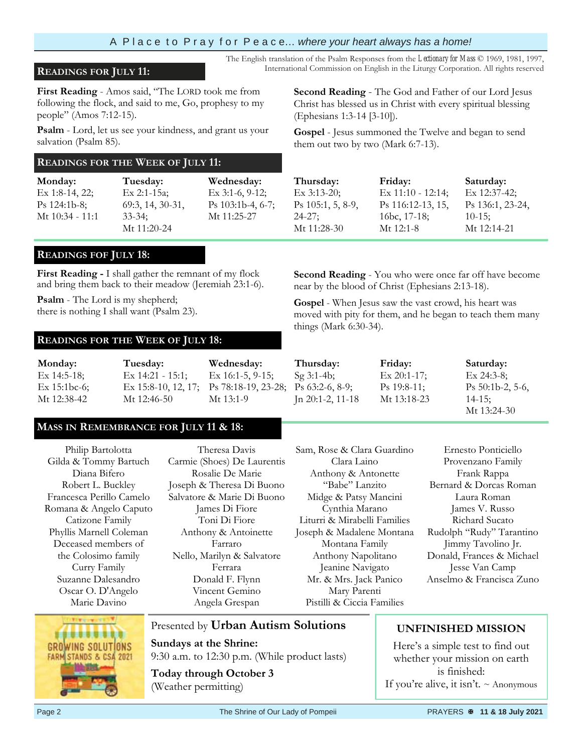### A P l a c e t o P r a y f o r P e a c e… *where your heart always has a home!*

### **READINGS FOR JULY 11:** International Commission on English in the Liturgy Corporation. All rights reserved

**First Reading** - Amos said, "The LORD took me from following the flock, and said to me, Go, prophesy to my people" (Amos 7:12-15).

**Psalm** - Lord, let us see your kindness, and grant us your salvation (Psalm 85)*.*

### **READINGS FOR THE WEEK OF JULY 11:**

**Monday:** Ex 1:8-14, 22; Ps 124:1b-8; Mt 10:34 - 11:1 **Tuesday:** Ex 2:1-15a; 69:3, 14, 30-31, 33-34; Mt 11:20-24 **Wednesday:**  Ex 3:1-6, 9-12; Ps 103:1b-4, 6-7; Mt 11:25-27

### **READINGS FOF JULY 18:**

**First Reading -** I shall gather the remnant of my flock and bring them back to their meadow (Jeremiah 23:1-6).

**Psalm** - The Lord is my shepherd; there is nothing I shall want (Psalm 23).

#### **READINGS FOR THE WEEK OF JULY 18:**

**Monday:** Ex 14:5-18; Ex 15:1bc-6; Mt 12:38-42 **Tuesday:** Ex 14:21 - 15:1; Ex 15:8-10, 12, 17; Mt 12:46-50 **Wednesday:** Ex 16:1-5, 9-15; Ps 78:18-19, 23-28; Mt 13:1-9

### **MASS IN REMEMBRANCE FOR JULY 11 & 18:**

Philip Bartolotta Gilda & Tommy Bartuch Diana Bifero Robert L. Buckley Francesca Perillo Camelo Romana & Angelo Caputo Catizone Family Phyllis Marnell Coleman Deceased members of the Colosimo family Curry Family Suzanne Dalesandro Oscar O. D'Angelo Marie Davino

Theresa Davis Carmie (Shoes) De Laurentis Rosalie De Marie Joseph & Theresa Di Buono Salvatore & Marie Di Buono James Di Fiore Toni Di Fiore Anthony & Antoinette Farraro Nello, Marilyn & Salvatore Ferrara Donald F. Flynn Vincent Gemino Angela Grespan

Clara Laino Anthony & Antonette "Babe" Lanzito Midge & Patsy Mancini Cynthia Marano Liturri & Mirabelli Families Joseph & Madalene Montana Montana Family Anthony Napolitano Jeanine Navigato Mr. & Mrs. Jack Panico Mary Parenti Pistilli & Ciccia Families

Sam, Rose & Clara Guardino

Ernesto Ponticiello Provenzano Family Frank Rappa Bernard & Dorcas Roman Laura Roman James V. Russo Richard Sucato Jimmy Tavolino Jr. Jesse Van Camp



Presented by **Urban Autism Solutions** 

**Sundays at the Shrine:**  9:30 a.m. to 12:30 p.m. (While product lasts)

**Today through October 3**  (Weather permitting)

**Second Reading** - The God and Father of our Lord Jesus Christ has blessed us in Christ with every spiritual blessing (Ephesians 1:3-14 [3-10]).

The English translation of the Psalm Responses from the *Lectionary for Mass* © 1969, 1981, 1997,

**Gospel** - Jesus summoned the Twelve and began to send them out two by two (Mark 6:7-13).

| Thursday:           | Friday:             | Saturday:        |
|---------------------|---------------------|------------------|
| $Ex$ 3:13-20;       | $Ex 11:10 - 12:14;$ | Ex 12:37-42;     |
| $Ps$ 105:1, 5, 8-9, | Ps 116:12-13, 15,   | Ps 136:1, 23-24, |
| $24 - 27$ ;         | 16bc, 17-18;        | $10-15$ ;        |
| Mt 11:28-30         | Mt 12:1-8           | Mt 12:14-21      |

**Second Reading** - You who were once far off have become near by the blood of Christ (Ephesians 2:13-18).

**Gospel** - When Jesus saw the vast crowd, his heart was moved with pity for them, and he began to teach them many things (Mark 6:30-34).

**Thursday:**  Sg 3:1-4b; Ps 63:2-6, 8-9; Jn 20:1-2, 11-18 **Friday:**  Ex 20:1-17; Ps 19:8-11; Mt 13:18-23

Ps 50:1b-2, 5-6, 14-15; Mt 13:24-30

**Saturday:**  Ex 24:3-8;

Rudolph "Rudy" Tarantino Donald, Frances & Michael Anselmo & Francisca Zuno

### **UNFINISHED MISSION**

Here's a simple test to find out whether your mission on earth is finished: If you're alive, it isn't.  $\sim$  Anonymous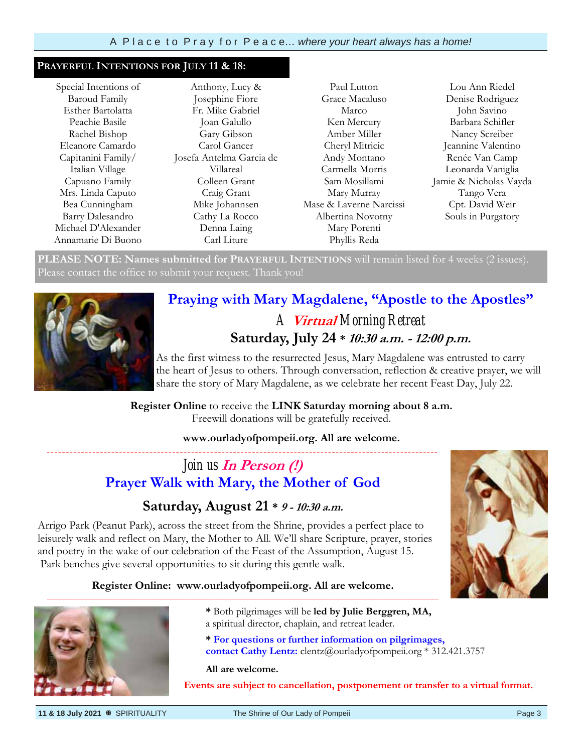#### **PRAYERFUL INTENTIONS FOR JULY 11 & 18:**

Special Intentions of Baroud Family Esther Bartolatta Peachie Basile Rachel Bishop Eleanore Camardo Capitanini Family/ Italian Village Capuano Family Mrs. Linda Caputo Bea Cunningham Barry Dalesandro Michael D'Alexander Annamarie Di Buono

Anthony, Lucy & Josephine Fiore Fr. Mike Gabriel Joan Galullo Gary Gibson Carol Gancer Josefa Antelma Garcia de Villareal Colleen Grant Craig Grant Mike Johannsen Cathy La Rocco Denna Laing Carl Liture

Paul Lutton Grace Macaluso Marco Ken Mercury Amber Miller Cheryl Mitricic Andy Montano Carmella Morris Sam Mosillami Mary Murray Mase & Laverne Narcissi Albertina Novotny Mary Porenti Phyllis Reda

Lou Ann Riedel Denise Rodriguez John Savino Barbara Schifler Nancy Screiber Jeannine Valentino Renée Van Camp Leonarda Vaniglia Jamie & Nicholas Vayda Tango Vera Cpt. David Weir Souls in Purgatory

**PLEASE NOTE: Names submitted for PRAYERFUL INTENTIONS** will remain listed for 4 weeks (2 issues). Please contact the office to submit your request. Thank you!



### **Praying with Mary Magdalene, "Apostle to the Apostles"**  *A* **Virtual** *Morning Retreat*

### **Saturday, July 24 \* 10:30 a.m. - 12:00 p.m.**

As the first witness to the resurrected Jesus, Mary Magdalene was entrusted to carry the heart of Jesus to others. Through conversation, reflection & creative prayer, we will share the story of Mary Magdalene, as we celebrate her recent Feast Day, July 22.

**Register Online** to receive the **LINK Saturday morning about 8 a.m.**  Freewill donations will be gratefully received.

### **www.ourladyofpompeii.org. All are welcome.**

### *Join us* **In Person (!) Prayer Walk with Mary, the Mother of God**

*\_\_\_\_\_\_\_\_\_\_\_\_\_\_\_\_\_\_\_\_\_\_\_\_\_\_\_\_\_\_\_\_\_\_\_\_\_\_\_\_\_\_\_\_\_\_\_\_\_\_\_\_\_\_\_\_\_\_\_\_\_\_\_\_\_\_\_\_\_\_\_\_\_\_\_\_\_\_\_\_\_\_\_\_\_\_\_\_\_\_\_\_\_\_\_\_\_\_\_\_\_\_\_* 

### **Saturday, August 21 \* 9 - 10:30 a.m.**

Arrigo Park (Peanut Park), across the street from the Shrine, provides a perfect place to leisurely walk and reflect on Mary, the Mother to All. We'll share Scripture, prayer, stories and poetry in the wake of our celebration of the Feast of the Assumption, August 15. Park benches give several opportunities to sit during this gentle walk.

#### **Register Online: www.ourladyofpompeii.org. All are welcome. \_\_\_\_\_\_\_\_\_\_\_\_\_\_\_\_\_\_\_\_\_\_\_\_\_\_\_\_\_\_\_\_\_\_\_\_\_\_\_\_\_\_\_\_\_\_\_\_\_\_\_\_\_\_\_\_\_\_\_\_\_\_\_\_\_\_\_\_\_\_\_\_\_\_\_\_\_\_\_\_\_\_\_\_\_\_\_\_\_\_\_\_\_\_\_\_\_\_\_\_\_\_\_**



- **\*** Both pilgrimages will be **led by Julie Berggren, MA,**  a spiritual director, chaplain, and retreat leader.
- **\* For questions or further information on pilgrimages, contact Cathy Lentz:** clentz@ourladyofpompeii.org \* 312.421.3757

#### **All are welcome.**

**Events are subject to cancellation, postponement or transfer to a virtual format.** 

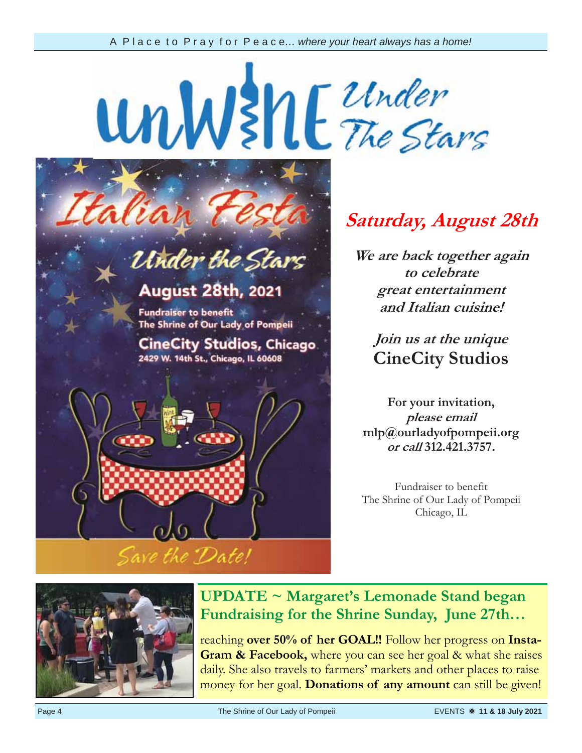UnW She The Stars alian

# Under the Stars

## **August 28th, 2021**

**Fundraiser to benefit** The Shrine of Our Lady of Pompeii

**CineCity Studios, Chicago** 2429 W. 14th St., Chicago, IL 60608



## **Saturday, August 28th**

**We are back together again to celebrate great entertainment and Italian cuisine!**

**Join us at the unique CineCity Studios** 

**For your invitation, please email mlp@ourladyofpompeii.org or call 312.421.3757.**

Fundraiser to benefit The Shrine of Our Lady of Pompeii Chicago, IL



### **UPDATE ~ Margaret's Lemonade Stand began Fundraising for the Shrine Sunday, June 27th…**

reaching **over 50% of her GOAL!!** Follow her progress on **Insta-Gram & Facebook,** where you can see her goal & what she raises daily. She also travels to farmers' markets and other places to raise money for her goal. **Donations of any amount** can still be given!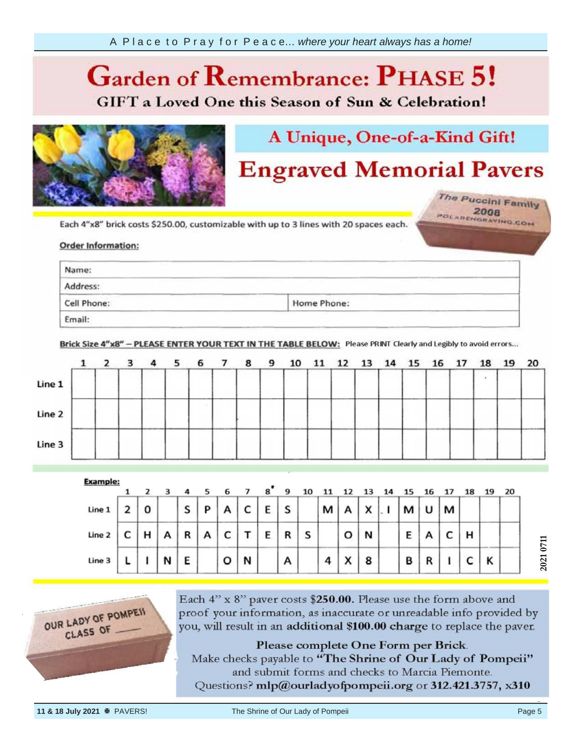### **Garden of**  *Ca* **GIFT** a Loved One this Season of Sun & Celebration!



## A Unique, One-of-a-Kind Gift!

## **Engraved Memorial Pavers**

The Puccini Family POLARENGRAVING.COM

your information, Each 4"x8"

### Order info provided by the provided by the provided by the property of the property of the property of the property of the property of the property of the property of the property of the property of the property of the property of th

| Name:                                                                                                                                                                                                                                               |                                                                                                                                       |                                       |
|-----------------------------------------------------------------------------------------------------------------------------------------------------------------------------------------------------------------------------------------------------|---------------------------------------------------------------------------------------------------------------------------------------|---------------------------------------|
| the company of the company of the company of the company of the company of the company of the company of the company of the company of the company of the company of the company of the company of the company of the company<br>______<br>Address: | the control of the control of the control of<br>and Control Services and Control<br><b>START</b><br>and the company of the company of | and the company of the company of the |
| <b>Contract Contract Contract</b><br>the control of the control of the control of the control of the control of the control of<br>Cell Phone:                                                                                                       | the contract of the contract of<br><b>Service</b><br>Home Phone:                                                                      |                                       |

Brick Size 4"x8" - PLEASE ENTER YOUR TEXT IN THE TABLE BELOW: Please PRINT Clearly and Legibly to avoid errors...

|        | $1\quad 2$ | 3 |       | 4 <sub>5</sub> | 6 7 | 89 | 10 |  | 11 12 13 14 15 16 17 |  |  | 18 | 19 20 |  |
|--------|------------|---|-------|----------------|-----|----|----|--|----------------------|--|--|----|-------|--|
| Line 1 |            |   |       |                |     |    |    |  |                      |  |  |    |       |  |
| Line 2 |            |   | ----- |                |     |    |    |  |                      |  |  |    |       |  |
| Line 3 |            |   |       |                |     |    |    |  |                      |  |  |    |       |  |

| <b>Example:</b> |   |   |   |   | 6 |   | 8 | 9 |   |   |                        |   |   |   |   |   | 19 | 20 |
|-----------------|---|---|---|---|---|---|---|---|---|---|------------------------|---|---|---|---|---|----|----|
| Line 1          | 0 |   | S | P | А | c | E | S |   | М |                        | x | м | υ | м |   |    |    |
| Line 2          | н | А | R | A | c |   | Е | R | s |   | о                      | N | Ε |   |   | н |    |    |
| Line 3          |   | N | E |   | o | N |   | Α |   | 4 | $\checkmark$<br>$\sim$ | 8 | в | n |   |   | Κ  |    |



Each 4" x 8" paver costs \$250.00. Please use the form above and proof your information, as inaccurate or unreadable info provided by you, will result in an additional \$100.00 charge to replace the paver.

Please complete One Form per Brick. Make checks payable to "The Shrine of Our Lady of Pompeii" and submit forms and checks to Marcia Piemonte. Questions? mlp@ourladyofpompeii.org or 312.421.3757, x310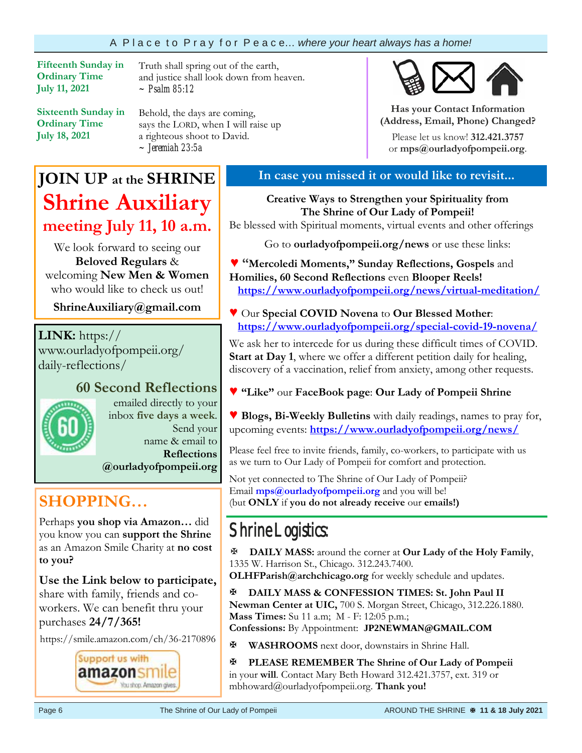### A P l a c e t o P r a y f o r P e a c e… *where your heart always has a home!*

**Fifteenth Sunday in Ordinary Time July 11, 2021** 

**Sixteenth Sunday in Ordinary Time July 18, 2021**

Truth shall spring out of the earth, and justice shall look down from heaven. *~ Psalm 85:12*

Behold, the days are coming, says the LORD, when I will raise up a righteous shoot to David. *~ Jeremiah 23:5a*

## **JOIN UP at the SHRINE Shrine Auxiliary meeting July 11, 10 a.m.**

We look forward to seeing our **Beloved Regulars** & welcoming **New Men & Women**  who would like to check us out!

**ShrineAuxiliary@gmail.com**

**LINK:** https:// www.ourladyofpompeii.org/ daily-reflections/

### **60 Second Reflections**



emailed directly to your inbox **five days a week**. Send your name & email to **Reflections** 

**@ourladyofpompeii.org** 

### **SHOPPING…**

Perhaps **you shop via Amazon…** did you know you can **support the Shrine**  as an Amazon Smile Charity at **no cost to you?** 

**Use the Link below to participate,** share with family, friends and coworkers. We can benefit thru your purchases **24/7/365!**

https://smile.amazon.com/ch/36-2170896



### **In case you missed it or would like to revisit...**

**Has your Contact Information (Address, Email, Phone) Changed?**Please let us know! **312.421.3757**  or **mps@ourladyofpompeii.org**.

**Creative Ways to Strengthen your Spirituality from The Shrine of Our Lady of Pompeii!** 

Be blessed with Spiritual moments, virtual events and other offerings

Go to **ourladyofpompeii.org/news** or use these links:

**♥ "Mercoledi Moments," Sunday Reflections, Gospels** and **Homilies, 60 Second Reflections** even **Blooper Reels! https://www.ourladyofpompeii.org/news/virtual-meditation/** 

**♥** Our **Special COVID Novena** to **Our Blessed Mother**:  **https://www.ourladyofpompeii.org/special-covid-19-novena/** 

We ask her to intercede for us during these difficult times of COVID. **Start at Day 1**, where we offer a different petition daily for healing, discovery of a vaccination, relief from anxiety, among other requests.

**♥ "Like"** our **FaceBook page**: **Our Lady of Pompeii Shrine** 

**♥ Blogs, Bi-Weekly Bulletins** with daily readings, names to pray for, upcoming events: **https://www.ourladyofpompeii.org/news/** 

Please feel free to invite friends, family, co-workers, to participate with us as we turn to Our Lady of Pompeii for comfort and protection.

Not yet connected to The Shrine of Our Lady of Pompeii? Email **mps@ourladyofpompeii.org** and you will be! (but **ONLY** if **you do not already receive** our **emails!)**

## Shrine Logistics:

**DAILY MASS:** around the corner at **Our Lady of the Holy Family**, 1335 W. Harrison St., Chicago. 312.243.7400.

**OLHFParish@archchicago.org** for weekly schedule and updates.

**DAILY MASS & CONFESSION TIMES: St. John Paul II Newman Center at UIC,** 700 S. Morgan Street, Chicago, 312.226.1880. **Mass Times:** Su 11 a.m; M - F: 12:05 p.m.;

**Confessions:** By Appointment: **JP2NEWMAN@GMAIL.COM**

**WASHROOMS** next door, downstairs in Shrine Hall.

**PLEASE REMEMBER The Shrine of Our Lady of Pompeii**  in your **will**. Contact Mary Beth Howard 312.421.3757, ext. 319 or mbhoward@ourladyofpompeii.org. **Thank you!**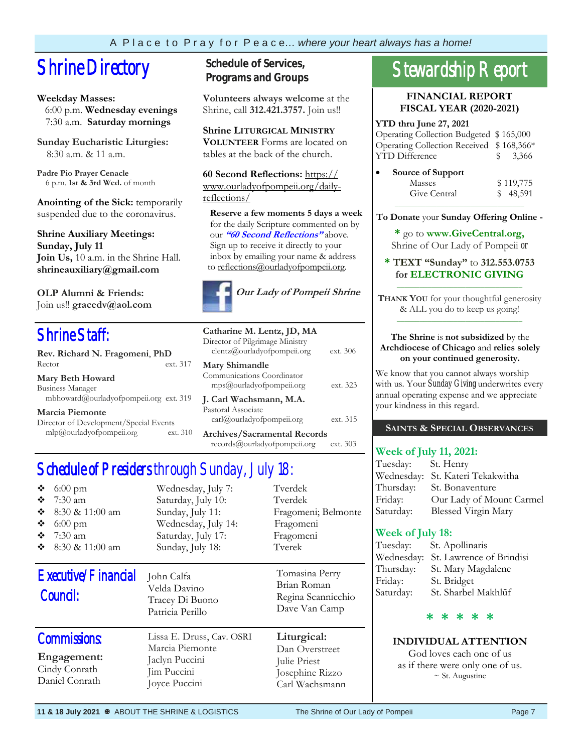## **Shrine Directory** Schedule of Services,

### **Weekday Masses:**

 6:00 p.m. **Wednesday evenings** 7:30 a.m. **Saturday mornings**

**Sunday Eucharistic Liturgies:** 8:30 a.m. & 11 a.m.

**Padre Pio Prayer Cenacle** 6 p.m. **1st & 3rd Wed.** of month

**Anointing of the Sick:** temporarily suspended due to the coronavirus.

**Shrine Auxiliary Meetings: Sunday, July 11 Join Us,** 10 a.m. in the Shrine Hall. **shrineauxiliary@gmail.com** 

**OLP Alumni & Friends:**  Join us!! **gracedv@aol.com** 

### Shrine Staff:

| Rev. Richard N. Fragomeni, PhD         |          |  |  |  |
|----------------------------------------|----------|--|--|--|
| Rector                                 | ext. 317 |  |  |  |
| <b>Mary Beth Howard</b>                |          |  |  |  |
| Business Manager                       |          |  |  |  |
| mbhoward@ourladyofpompeii.org ext. 319 |          |  |  |  |

**Marcia Piemonte** Director of Development/Special Events mlp@ourladyofpompeii.org ext. 310

## **Programs and Groups**

**Volunteers always welcome** at the Shrine, call **312.421.3757.** Join us!!

**Shrine LITURGICAL MINISTRY VOLUNTEER** Forms are located on tables at the back of the church.

**60 Second Reflections:** https:// www.ourladyofpompeii.org/dailyreflections/

 **Reserve a few moments 5 days a week**  for the daily Scripture commented on by our **"60 Second Reflections"** above. Sign up to receive it directly to your inbox by emailing your name & address to reflections@ourladyofpompeii.org.



| Catharine M. Lentz, JD, MA<br>Director of Pilgrimage Ministry<br>clentz@ourladyofpompeii.org | ext. 306 |
|----------------------------------------------------------------------------------------------|----------|
| <b>Mary Shimandle</b><br>Communications Coordinator<br>mps@ourladyofpompeii.org              | ext. 323 |
| J. Carl Wachsmann, M.A.<br>Pastoral Associate<br>carl@ourladyofpompeii.org                   | ext. 315 |
| Archives/Sacramental Records                                                                 |          |

records@ourladyofpompeii.org ext. 303

### Schedule of Presiders through Sunday, July 18:

| ❖<br>$6:00 \text{ pm}$<br>❖<br>$7:30$ am<br>❖<br>8:30 & 11:00 am<br>❖<br>$6:00$ pm<br>❖<br>$7:30 \text{ am}$<br>❖<br>8:30 & 11:00 am | Wednesday, July 7:<br>Saturday, July 10:<br>Sunday, July 11:<br>Wednesday, July 14:<br>Saturday, July 17:<br>Sunday, July 18: | Tverdek<br>Tverdek<br>Fragomeni; Belmonte<br>Fragomeni<br>Fragomeni<br>Tyerek      |
|--------------------------------------------------------------------------------------------------------------------------------------|-------------------------------------------------------------------------------------------------------------------------------|------------------------------------------------------------------------------------|
| Executive/Financial<br>Council:                                                                                                      | John Calfa<br>Velda Davino<br>Tracey Di Buono<br>Patricia Perillo                                                             | Tomasina Perry<br>Brian Roman<br>Regina Scannicchio<br>Dave Van Camp               |
| <b>Commissions:</b><br>Engagement:<br>Cindy Conrath<br>Daniel Conrath                                                                | Lissa E. Druss, Cav. OSRI<br>Marcia Piemonte<br>Jaclyn Puccini<br>Jim Puccini<br>Joyce Puccini                                | Liturgical:<br>Dan Overstreet<br>Julie Priest<br>Josephine Rizzo<br>Carl Wachsmann |

## Stewardship Report

#### **FINANCIAL REPORT FISCAL YEAR (2020-2021)**

#### **YTD thru June 27, 2021**

| Operating Collection Budgeted \$165,000  |                     |
|------------------------------------------|---------------------|
| Operating Collection Received \$168,366* |                     |
| <b>YTD Difference</b>                    | $\frac{1}{2}$ 3,366 |
|                                          |                     |

| Source of Support |           |
|-------------------|-----------|
| Masses            | \$119,775 |
| Give Central      | \$48,591  |
|                   |           |

**To Donate** your **Sunday Offering Online -** 

**\*** go to **www.GiveCentral.org,** Shrine of Our Lady of Pompeii *or* 

#### **\* TEXT "Sunday"** to **312.553.0753 for ELECTRONIC GIVING** \_\_\_\_\_\_\_\_\_\_\_\_\_\_\_\_\_\_\_\_\_\_\_\_\_\_\_\_\_\_\_\_\_

**THANK YOU** for your thoughtful generosity & ALL you do to keep us going! \_\_\_\_\_\_\_\_\_\_\_\_\_\_\_\_\_\_\_\_\_\_\_\_\_\_\_\_\_\_\_\_\_

#### **The Shrine** is **not subsidized** by the **Archdiocese of Chicago** and **relies solely on your continued generosity.**

We know that you cannot always worship with us. Your *Sunday Giving* underwrites every annual operating expense and we appreciate your kindness in this regard.

### **SAINTS & SPECIAL OBSERVANCES**

### **Week of July 11, 2021:**

| Tuesday: St. Henry |                                  |
|--------------------|----------------------------------|
|                    | Wednesday: St. Kateri Tekakwitha |
|                    | Thursday: St. Bonaventure        |
| Friday:            | Our Lady of Mount Carmel         |
| Saturday:          | Blessed Virgin Mary              |

### **Week of July 18:**

| St. Apollinaris                        |
|----------------------------------------|
| Wednesday:<br>St. Lawrence of Brindisi |
| St. Mary Magdalene                     |
| St. Bridget                            |
| St. Sharbel Makhlūf                    |
|                                        |

### **\* \* \* \* \***

### **INDIVIDUAL ATTENTION**

God loves each one of us as if there were only one of us.  $\sim$  St. Augustine